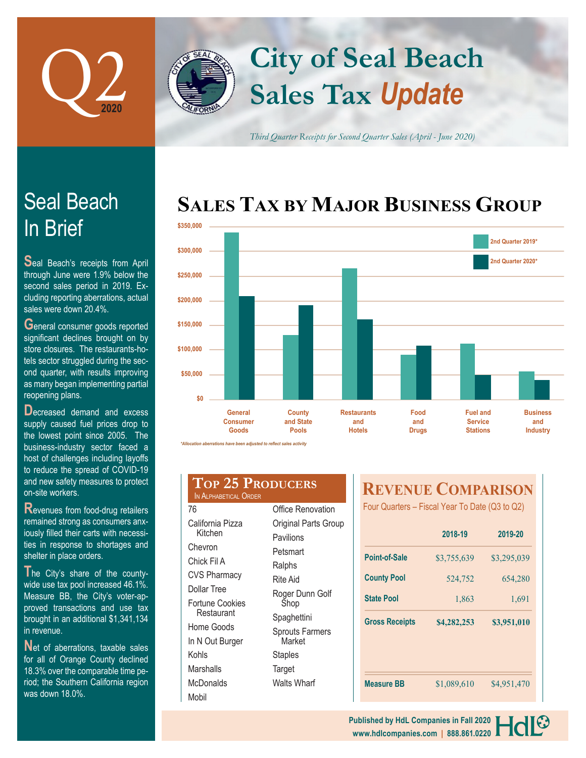

In Brief

Seal Beach

sales were down 20.4%.

**S**eal Beach's receipts from April through June were 1.9% below the second sales period in 2019. Excluding reporting aberrations, actual

**G**eneral consumer goods reported significant declines brought on by store closures. The restaurants-hotels sector struggled during the sec-

## **Sales Tax** *Update* **City of Seal Beach**

*Third Quarter Receipts for Second Quarter Sales (April - June 2020)*

## **SALES TAX BY MAJOR BUSINESS GROUP**



| tolo ocolor otraggioa dannig the oco |
|--------------------------------------|
| ond quarter, with results improving  |
| as many began implementing partial   |
| reopening plans.                     |
| Decreased demand and excess          |
| supply caused fuel prices drop to    |
| the lowest point since 2005. The     |
| business-industry sector faced a     |

host of challenges including layoffs to reduce the spread of COVID-19 and new safety measures to protect on-site workers.

**R**evenues from food-drug retailers remained strong as consumers anxiously filled their carts with necessities in response to shortages and shelter in place orders.

**T**he City's share of the countywide use tax pool increased 46.1%. Measure BB, the City's voter-approved transactions and use tax brought in an additional \$1,341,134 in revenue.

**N**et of aberrations, taxable sales for all of Orange County declined 18.3% over the comparable time period; the Southern California region was down 18.0%.

### **Top 25 Producers** IN ALPHABETICAL ORDER 76 California Pizza Kitchen Office Renovation

| Chevron                       |
|-------------------------------|
| Chick Fil A                   |
| <b>CVS Pharmacy</b>           |
| Dollar Tree                   |
| Fortune Cookies<br>Restaurant |
| Home Goods                    |
| In N Out Burger               |
| Kohls                         |
| Marshalls                     |
| McDonalds                     |

Mobil

| <b>INVITUTULE</b>                |
|----------------------------------|
| Original Parts Group             |
| Pavilions                        |
| Petsmart                         |
| Ralphs                           |
| Rite Aid                         |
| Roger Dunn Golf<br>Shop          |
| Spaghettini                      |
| <b>Sprouts Farmers</b><br>Market |
| Staples                          |
| Target                           |
| <b>Walts Wharf</b>               |

## **REVENUE COMPARISON**

Four Quarters – Fiscal Year To Date (Q3 to Q2)

|                       | 2018-19     | 2019-20     |
|-----------------------|-------------|-------------|
| <b>Point-of-Sale</b>  | \$3,755,639 | \$3,295,039 |
| <b>County Pool</b>    | 524,752     | 654,280     |
| <b>State Pool</b>     | 1,863       | 1,691       |
| <b>Gross Receipts</b> | \$4,282,253 | \$3,951,010 |
|                       |             |             |
| <b>Measure BB</b>     | \$1,089,610 | \$4,951,470 |